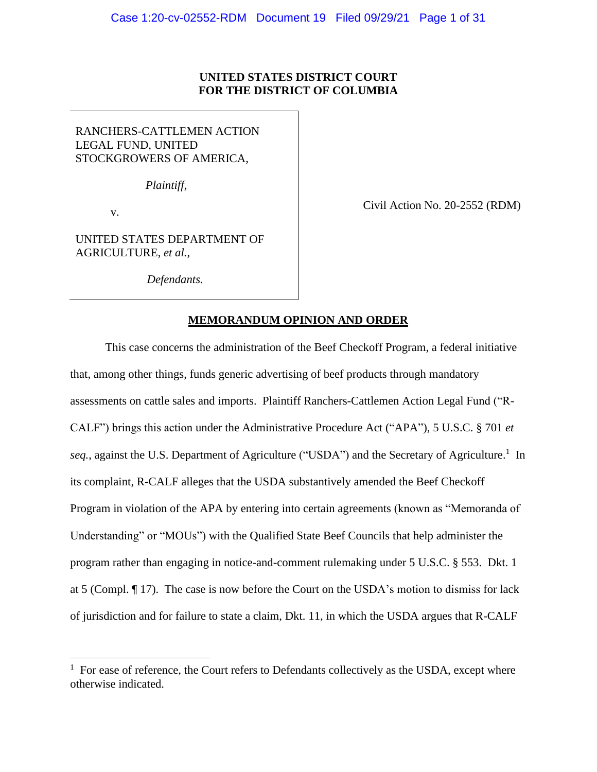## **UNITED STATES DISTRICT COURT FOR THE DISTRICT OF COLUMBIA**

# RANCHERS-CATTLEMEN ACTION LEGAL FUND, UNITED STOCKGROWERS OF AMERICA,

*Plaintiff*,

v.

Civil Action No. 20-2552 (RDM)

UNITED STATES DEPARTMENT OF AGRICULTURE, *et al.*,

*Defendants.*

## **MEMORANDUM OPINION AND ORDER**

This case concerns the administration of the Beef Checkoff Program, a federal initiative that, among other things, funds generic advertising of beef products through mandatory assessments on cattle sales and imports. Plaintiff Ranchers-Cattlemen Action Legal Fund ("R-CALF") brings this action under the Administrative Procedure Act ("APA"), 5 U.S.C. § 701 *et*  seq., against the U.S. Department of Agriculture ("USDA") and the Secretary of Agriculture.<sup>1</sup> In its complaint, R-CALF alleges that the USDA substantively amended the Beef Checkoff Program in violation of the APA by entering into certain agreements (known as "Memoranda of Understanding" or "MOUs") with the Qualified State Beef Councils that help administer the program rather than engaging in notice-and-comment rulemaking under 5 U.S.C. § 553. Dkt. 1 at 5 (Compl. ¶ 17). The case is now before the Court on the USDA's motion to dismiss for lack of jurisdiction and for failure to state a claim, Dkt. 11, in which the USDA argues that R-CALF

 $1$  For ease of reference, the Court refers to Defendants collectively as the USDA, except where otherwise indicated.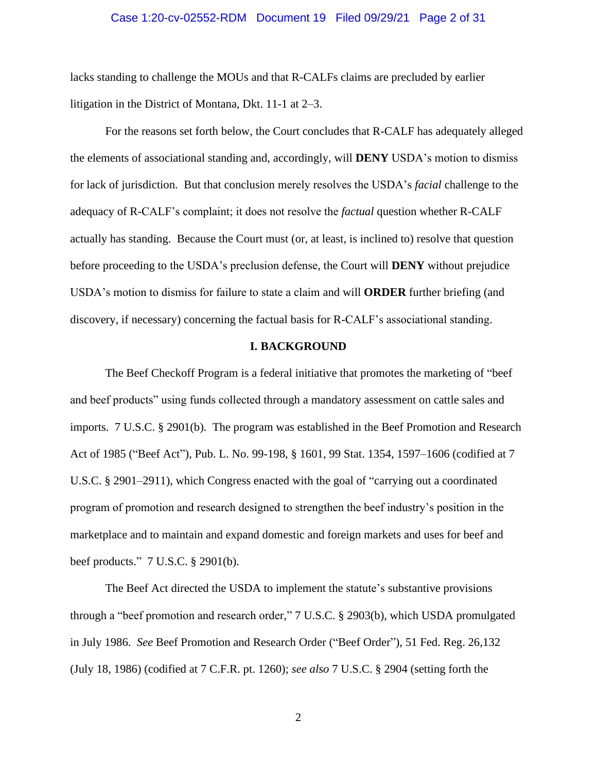#### Case 1:20-cv-02552-RDM Document 19 Filed 09/29/21 Page 2 of 31

lacks standing to challenge the MOUs and that R-CALFs claims are precluded by earlier litigation in the District of Montana, Dkt. 11-1 at 2–3.

For the reasons set forth below, the Court concludes that R-CALF has adequately alleged the elements of associational standing and, accordingly, will **DENY** USDA's motion to dismiss for lack of jurisdiction. But that conclusion merely resolves the USDA's *facial* challenge to the adequacy of R-CALF's complaint; it does not resolve the *factual* question whether R-CALF actually has standing. Because the Court must (or, at least, is inclined to) resolve that question before proceeding to the USDA's preclusion defense, the Court will **DENY** without prejudice USDA's motion to dismiss for failure to state a claim and will **ORDER** further briefing (and discovery, if necessary) concerning the factual basis for R-CALF's associational standing.

### **I. BACKGROUND**

The Beef Checkoff Program is a federal initiative that promotes the marketing of "beef and beef products" using funds collected through a mandatory assessment on cattle sales and imports. 7 U.S.C. § 2901(b). The program was established in the Beef Promotion and Research Act of 1985 ("Beef Act"), Pub. L. No. 99-198, § 1601, 99 Stat. 1354, 1597–1606 (codified at 7 U.S.C. § 2901–2911), which Congress enacted with the goal of "carrying out a coordinated program of promotion and research designed to strengthen the beef industry's position in the marketplace and to maintain and expand domestic and foreign markets and uses for beef and beef products." 7 U.S.C. § 2901(b).

The Beef Act directed the USDA to implement the statute's substantive provisions through a "beef promotion and research order," 7 U.S.C. § 2903(b), which USDA promulgated in July 1986. *See* Beef Promotion and Research Order ("Beef Order"), 51 Fed. Reg. 26,132 (July 18, 1986) (codified at 7 C.F.R. pt. 1260); *see also* 7 U.S.C. § 2904 (setting forth the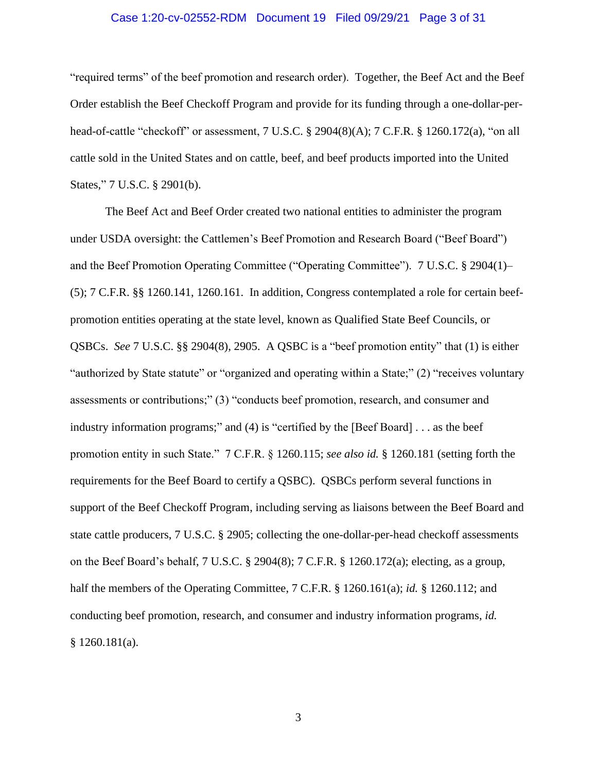### Case 1:20-cv-02552-RDM Document 19 Filed 09/29/21 Page 3 of 31

"required terms" of the beef promotion and research order). Together, the Beef Act and the Beef Order establish the Beef Checkoff Program and provide for its funding through a one-dollar-perhead-of-cattle "checkoff" or assessment, 7 U.S.C. § 2904(8)(A); 7 C.F.R. § 1260.172(a), "on all cattle sold in the United States and on cattle, beef, and beef products imported into the United States," 7 U.S.C. § 2901(b).

The Beef Act and Beef Order created two national entities to administer the program under USDA oversight: the Cattlemen's Beef Promotion and Research Board ("Beef Board") and the Beef Promotion Operating Committee ("Operating Committee"). 7 U.S.C. § 2904(1)– (5); 7 C.F.R. §§ 1260.141, 1260.161. In addition, Congress contemplated a role for certain beefpromotion entities operating at the state level, known as Qualified State Beef Councils, or QSBCs. *See* 7 U.S.C. §§ 2904(8), 2905. A QSBC is a "beef promotion entity" that (1) is either "authorized by State statute" or "organized and operating within a State;" (2) "receives voluntary assessments or contributions;" (3) "conducts beef promotion, research, and consumer and industry information programs;" and (4) is "certified by the [Beef Board] . . . as the beef promotion entity in such State." 7 C.F.R. § 1260.115; *see also id.* § 1260.181 (setting forth the requirements for the Beef Board to certify a QSBC). QSBCs perform several functions in support of the Beef Checkoff Program, including serving as liaisons between the Beef Board and state cattle producers, 7 U.S.C. § 2905; collecting the one-dollar-per-head checkoff assessments on the Beef Board's behalf, 7 U.S.C. § 2904(8); 7 C.F.R. § 1260.172(a); electing, as a group, half the members of the Operating Committee, 7 C.F.R. § 1260.161(a); *id.* § 1260.112; and conducting beef promotion, research, and consumer and industry information programs, *id.*  § 1260.181(a).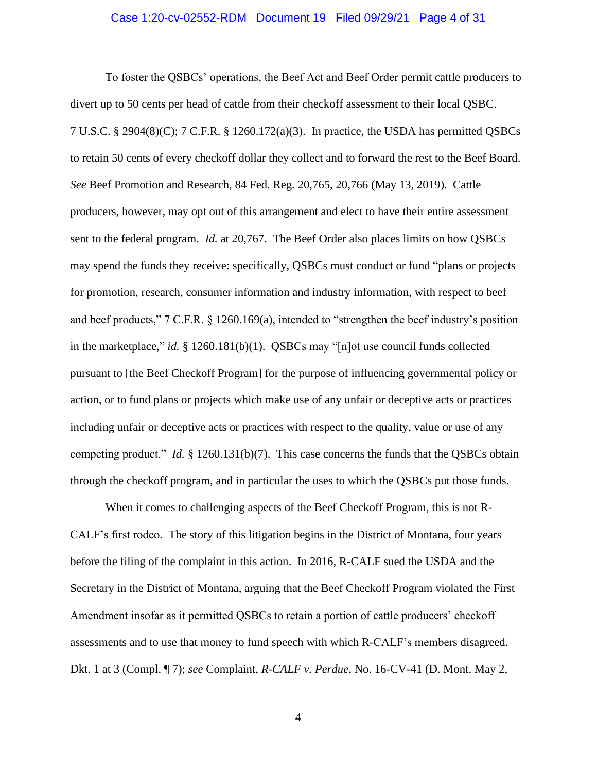#### Case 1:20-cv-02552-RDM Document 19 Filed 09/29/21 Page 4 of 31

To foster the QSBCs' operations, the Beef Act and Beef Order permit cattle producers to divert up to 50 cents per head of cattle from their checkoff assessment to their local QSBC. 7 U.S.C. § 2904(8)(C); 7 C.F.R. § 1260.172(a)(3). In practice, the USDA has permitted QSBCs to retain 50 cents of every checkoff dollar they collect and to forward the rest to the Beef Board. *See* Beef Promotion and Research, 84 Fed. Reg. 20,765, 20,766 (May 13, 2019). Cattle producers, however, may opt out of this arrangement and elect to have their entire assessment sent to the federal program. *Id.* at 20,767. The Beef Order also places limits on how QSBCs may spend the funds they receive: specifically, QSBCs must conduct or fund "plans or projects for promotion, research, consumer information and industry information, with respect to beef and beef products," 7 C.F.R. § 1260.169(a), intended to "strengthen the beef industry's position in the marketplace," *id.* § 1260.181(b)(1). QSBCs may "[n]ot use council funds collected pursuant to [the Beef Checkoff Program] for the purpose of influencing governmental policy or action, or to fund plans or projects which make use of any unfair or deceptive acts or practices including unfair or deceptive acts or practices with respect to the quality, value or use of any competing product." *Id.* § 1260.131(b)(7). This case concerns the funds that the QSBCs obtain through the checkoff program, and in particular the uses to which the QSBCs put those funds.

When it comes to challenging aspects of the Beef Checkoff Program, this is not R-CALF's first rodeo. The story of this litigation begins in the District of Montana, four years before the filing of the complaint in this action. In 2016, R-CALF sued the USDA and the Secretary in the District of Montana, arguing that the Beef Checkoff Program violated the First Amendment insofar as it permitted QSBCs to retain a portion of cattle producers' checkoff assessments and to use that money to fund speech with which R-CALF's members disagreed. Dkt. 1 at 3 (Compl. ¶ 7); *see* Complaint, *R-CALF v. Perdue*, No. 16-CV-41 (D. Mont. May 2,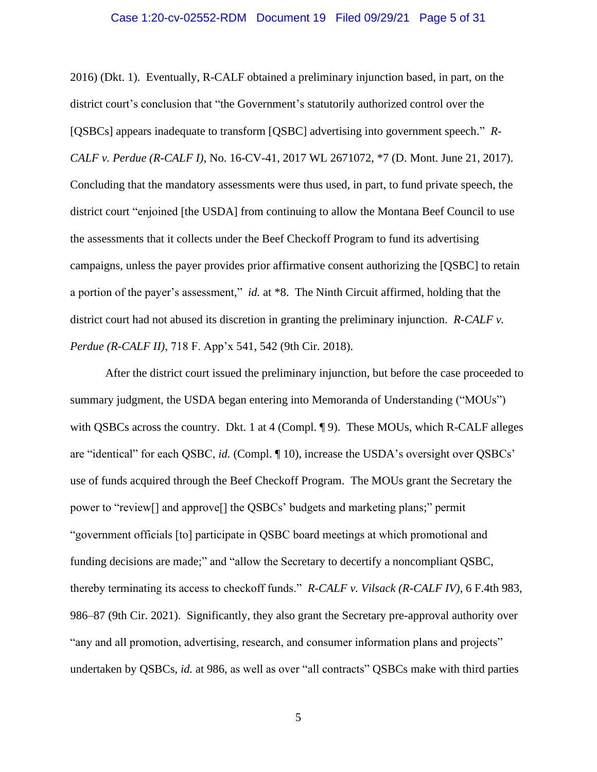### Case 1:20-cv-02552-RDM Document 19 Filed 09/29/21 Page 5 of 31

2016) (Dkt. 1). Eventually, R-CALF obtained a preliminary injunction based, in part, on the district court's conclusion that "the Government's statutorily authorized control over the [QSBCs] appears inadequate to transform [QSBC] advertising into government speech." *R-CALF v. Perdue (R-CALF I)*, No. 16-CV-41, 2017 WL 2671072, \*7 (D. Mont. June 21, 2017). Concluding that the mandatory assessments were thus used, in part, to fund private speech, the district court "enjoined [the USDA] from continuing to allow the Montana Beef Council to use the assessments that it collects under the Beef Checkoff Program to fund its advertising campaigns, unless the payer provides prior affirmative consent authorizing the [QSBC] to retain a portion of the payer's assessment," *id.* at \*8. The Ninth Circuit affirmed, holding that the district court had not abused its discretion in granting the preliminary injunction. *R-CALF v. Perdue (R-CALF II)*, 718 F. App'x 541, 542 (9th Cir. 2018).

After the district court issued the preliminary injunction, but before the case proceeded to summary judgment, the USDA began entering into Memoranda of Understanding ("MOUs") with QSBCs across the country. Dkt. 1 at 4 (Compl. ¶ 9). These MOUs, which R-CALF alleges are "identical" for each QSBC, *id.* (Compl. ¶ 10), increase the USDA's oversight over QSBCs' use of funds acquired through the Beef Checkoff Program. The MOUs grant the Secretary the power to "review[] and approve[] the QSBCs' budgets and marketing plans;" permit "government officials [to] participate in QSBC board meetings at which promotional and funding decisions are made;" and "allow the Secretary to decertify a noncompliant QSBC, thereby terminating its access to checkoff funds." *R-CALF v. Vilsack (R-CALF IV)*, 6 F.4th 983, 986–87 (9th Cir. 2021). Significantly, they also grant the Secretary pre-approval authority over "any and all promotion, advertising, research, and consumer information plans and projects" undertaken by QSBCs, *id.* at 986, as well as over "all contracts" QSBCs make with third parties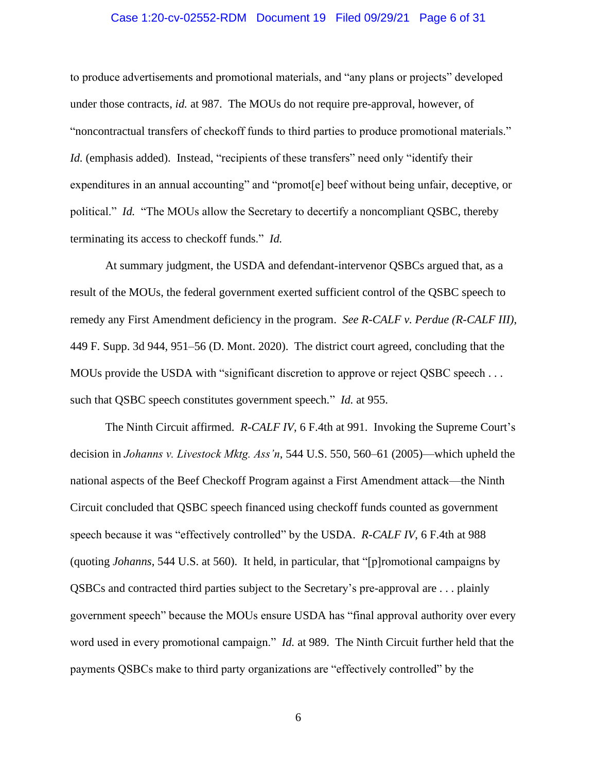### Case 1:20-cv-02552-RDM Document 19 Filed 09/29/21 Page 6 of 31

to produce advertisements and promotional materials, and "any plans or projects" developed under those contracts, *id.* at 987. The MOUs do not require pre-approval, however, of "noncontractual transfers of checkoff funds to third parties to produce promotional materials." *Id.* (emphasis added). Instead, "recipients of these transfers" need only "identify their expenditures in an annual accounting" and "promot[e] beef without being unfair, deceptive, or political." *Id.* "The MOUs allow the Secretary to decertify a noncompliant QSBC, thereby terminating its access to checkoff funds." *Id.*

At summary judgment, the USDA and defendant-intervenor QSBCs argued that, as a result of the MOUs, the federal government exerted sufficient control of the QSBC speech to remedy any First Amendment deficiency in the program. *See R-CALF v. Perdue (R-CALF III)*, 449 F. Supp. 3d 944, 951–56 (D. Mont. 2020). The district court agreed, concluding that the MOUs provide the USDA with "significant discretion to approve or reject QSBC speech . . . such that QSBC speech constitutes government speech." *Id.* at 955.

The Ninth Circuit affirmed. *R-CALF IV*, 6 F.4th at 991. Invoking the Supreme Court's decision in *Johanns v. Livestock Mktg. Ass'n*, 544 U.S. 550, 560–61 (2005)—which upheld the national aspects of the Beef Checkoff Program against a First Amendment attack—the Ninth Circuit concluded that QSBC speech financed using checkoff funds counted as government speech because it was "effectively controlled" by the USDA. *R-CALF IV*, 6 F.4th at 988 (quoting *Johanns*, 544 U.S. at 560). It held, in particular, that "[p]romotional campaigns by QSBCs and contracted third parties subject to the Secretary's pre-approval are . . . plainly government speech" because the MOUs ensure USDA has "final approval authority over every word used in every promotional campaign." *Id.* at 989. The Ninth Circuit further held that the payments QSBCs make to third party organizations are "effectively controlled" by the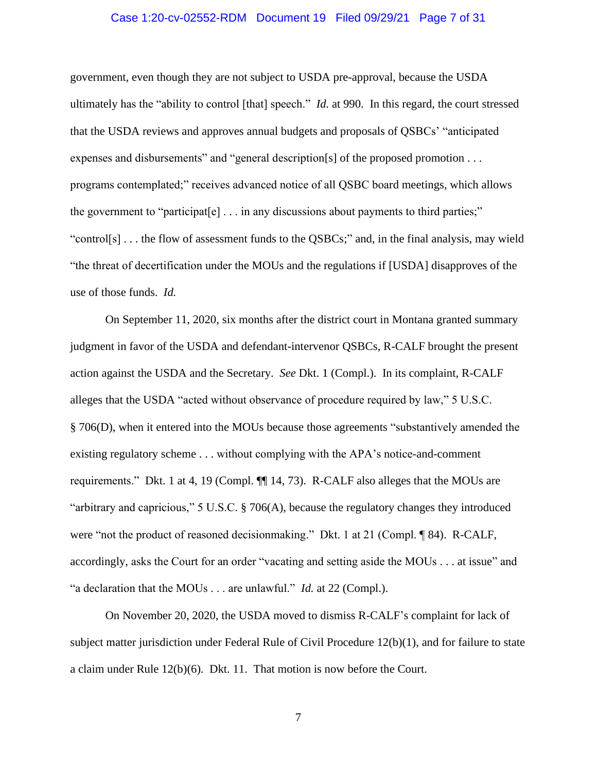### Case 1:20-cv-02552-RDM Document 19 Filed 09/29/21 Page 7 of 31

government, even though they are not subject to USDA pre-approval, because the USDA ultimately has the "ability to control [that] speech." *Id.* at 990. In this regard, the court stressed that the USDA reviews and approves annual budgets and proposals of QSBCs' "anticipated expenses and disbursements" and "general description[s] of the proposed promotion . . . programs contemplated;" receives advanced notice of all QSBC board meetings, which allows the government to "participat[e] . . . in any discussions about payments to third parties;" "control[s]... the flow of assessment funds to the QSBCs;" and, in the final analysis, may wield "the threat of decertification under the MOUs and the regulations if [USDA] disapproves of the use of those funds. *Id.*

On September 11, 2020, six months after the district court in Montana granted summary judgment in favor of the USDA and defendant-intervenor QSBCs, R-CALF brought the present action against the USDA and the Secretary. *See* Dkt. 1 (Compl.). In its complaint, R-CALF alleges that the USDA "acted without observance of procedure required by law," 5 U.S.C. § 706(D), when it entered into the MOUs because those agreements "substantively amended the existing regulatory scheme . . . without complying with the APA's notice-and-comment requirements." Dkt. 1 at 4, 19 (Compl. ¶¶ 14, 73). R-CALF also alleges that the MOUs are "arbitrary and capricious," 5 U.S.C. § 706(A), because the regulatory changes they introduced were "not the product of reasoned decisionmaking." Dkt. 1 at 21 (Compl. ¶ 84). R-CALF, accordingly, asks the Court for an order "vacating and setting aside the MOUs . . . at issue" and "a declaration that the MOUs . . . are unlawful." *Id.* at 22 (Compl.).

On November 20, 2020, the USDA moved to dismiss R-CALF's complaint for lack of subject matter jurisdiction under Federal Rule of Civil Procedure 12(b)(1), and for failure to state a claim under Rule 12(b)(6). Dkt. 11. That motion is now before the Court.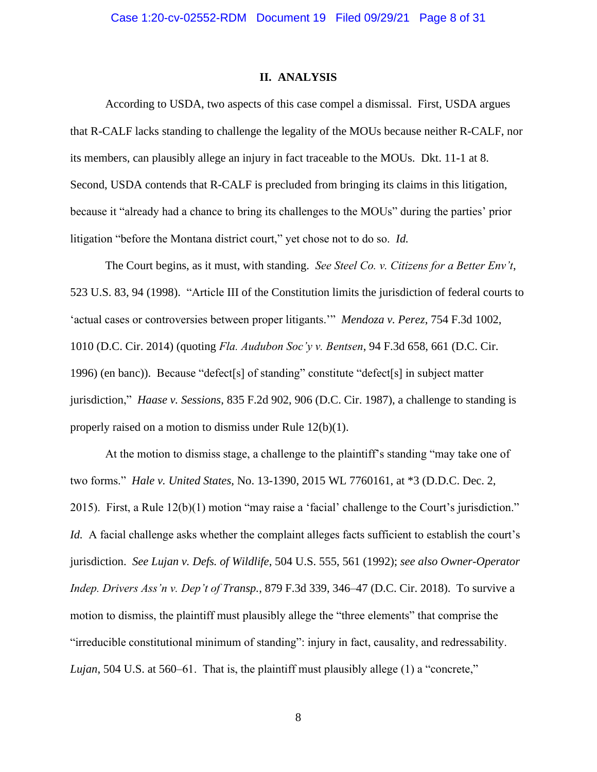#### **II. ANALYSIS**

According to USDA, two aspects of this case compel a dismissal. First, USDA argues that R-CALF lacks standing to challenge the legality of the MOUs because neither R-CALF, nor its members, can plausibly allege an injury in fact traceable to the MOUs. Dkt. 11-1 at 8. Second, USDA contends that R-CALF is precluded from bringing its claims in this litigation, because it "already had a chance to bring its challenges to the MOUs" during the parties' prior litigation "before the Montana district court," yet chose not to do so. *Id.*

The Court begins, as it must, with standing. *See Steel Co. v. Citizens for a Better Env't*, 523 U.S. 83, 94 (1998). "Article III of the Constitution limits the jurisdiction of federal courts to 'actual cases or controversies between proper litigants.'" *Mendoza v. Perez*, 754 F.3d 1002, 1010 (D.C. Cir. 2014) (quoting *Fla. Audubon Soc'y v. Bentsen*, 94 F.3d 658, 661 (D.C. Cir. 1996) (en banc)). Because "defect[s] of standing" constitute "defect[s] in subject matter jurisdiction," *Haase v. Sessions*, 835 F.2d 902, 906 (D.C. Cir. 1987), a challenge to standing is properly raised on a motion to dismiss under Rule 12(b)(1).

At the motion to dismiss stage, a challenge to the plaintiff's standing "may take one of two forms." *Hale v. United States*, No. 13-1390, 2015 WL 7760161, at \*3 (D.D.C. Dec. 2, 2015). First, a Rule 12(b)(1) motion "may raise a 'facial' challenge to the Court's jurisdiction." *Id.* A facial challenge asks whether the complaint alleges facts sufficient to establish the court's jurisdiction. *See Lujan v. Defs. of Wildlife*, 504 U.S. 555, 561 (1992); *see also Owner-Operator Indep. Drivers Ass'n v. Dep't of Transp.*, 879 F.3d 339, 346–47 (D.C. Cir. 2018). To survive a motion to dismiss, the plaintiff must plausibly allege the "three elements" that comprise the "irreducible constitutional minimum of standing": injury in fact, causality, and redressability. *Lujan*, 504 U.S. at 560–61. That is, the plaintiff must plausibly allege (1) a "concrete,"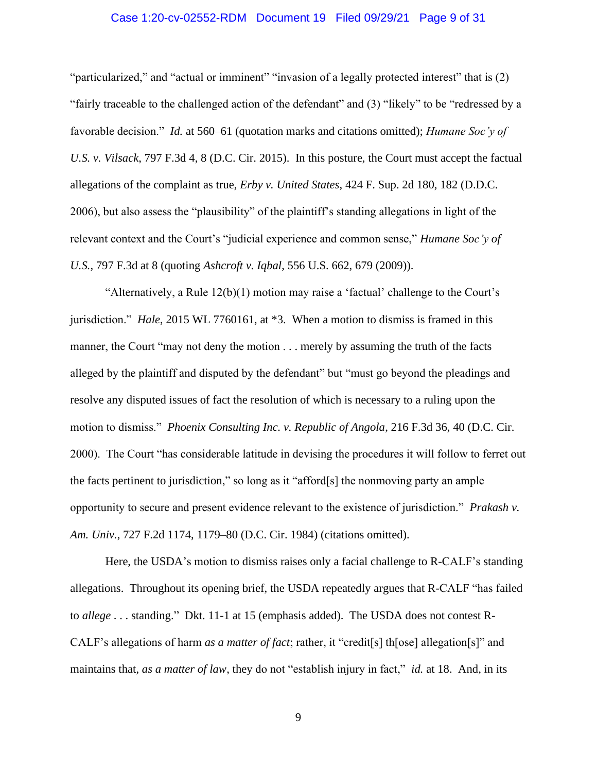### Case 1:20-cv-02552-RDM Document 19 Filed 09/29/21 Page 9 of 31

"particularized," and "actual or imminent" "invasion of a legally protected interest" that is (2) "fairly traceable to the challenged action of the defendant" and (3) "likely" to be "redressed by a favorable decision." *Id.* at 560–61 (quotation marks and citations omitted); *Humane Soc'y of U.S. v. Vilsack*, 797 F.3d 4, 8 (D.C. Cir. 2015). In this posture, the Court must accept the factual allegations of the complaint as true, *Erby v. United States*, 424 F. Sup. 2d 180, 182 (D.D.C. 2006), but also assess the "plausibility" of the plaintiff's standing allegations in light of the relevant context and the Court's "judicial experience and common sense," *Humane Soc'y of U.S.*, 797 F.3d at 8 (quoting *Ashcroft v. Iqbal*, 556 U.S. 662, 679 (2009)).

"Alternatively, a Rule 12(b)(1) motion may raise a 'factual' challenge to the Court's jurisdiction." *Hale*, 2015 WL 7760161, at \*3. When a motion to dismiss is framed in this manner, the Court "may not deny the motion . . . merely by assuming the truth of the facts alleged by the plaintiff and disputed by the defendant" but "must go beyond the pleadings and resolve any disputed issues of fact the resolution of which is necessary to a ruling upon the motion to dismiss." *Phoenix Consulting Inc. v. Republic of Angola*, 216 F.3d 36, 40 (D.C. Cir. 2000). The Court "has considerable latitude in devising the procedures it will follow to ferret out the facts pertinent to jurisdiction," so long as it "afford[s] the nonmoving party an ample opportunity to secure and present evidence relevant to the existence of jurisdiction." *Prakash v. Am. Univ.*, 727 F.2d 1174, 1179–80 (D.C. Cir. 1984) (citations omitted).

Here, the USDA's motion to dismiss raises only a facial challenge to R-CALF's standing allegations. Throughout its opening brief, the USDA repeatedly argues that R-CALF "has failed to *allege* . . . standing." Dkt. 11-1 at 15 (emphasis added). The USDA does not contest R-CALF's allegations of harm *as a matter of fact*; rather, it "credit[s] th[ose] allegation[s]" and maintains that, *as a matter of law*, they do not "establish injury in fact," *id.* at 18. And, in its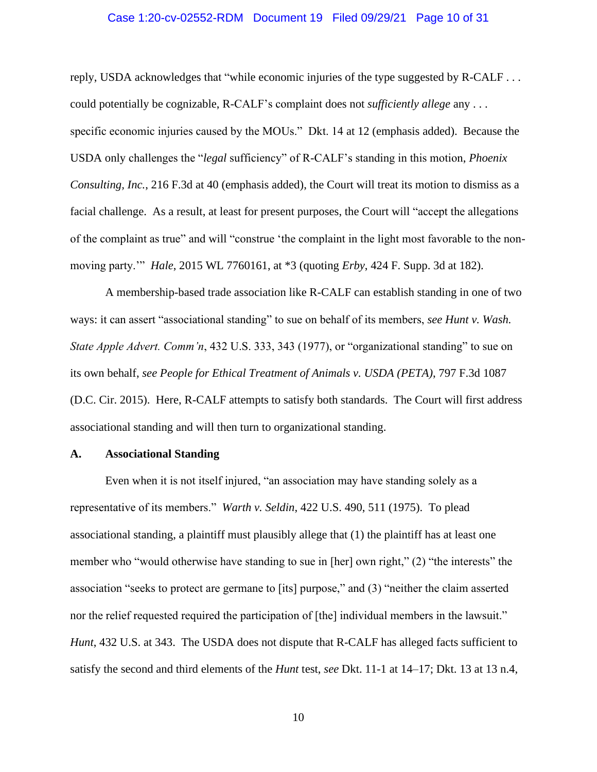### Case 1:20-cv-02552-RDM Document 19 Filed 09/29/21 Page 10 of 31

reply, USDA acknowledges that "while economic injuries of the type suggested by R-CALF . . . could potentially be cognizable, R-CALF's complaint does not *sufficiently allege* any . . . specific economic injuries caused by the MOUs." Dkt. 14 at 12 (emphasis added). Because the USDA only challenges the "*legal* sufficiency" of R-CALF's standing in this motion, *Phoenix Consulting, Inc.*, 216 F.3d at 40 (emphasis added), the Court will treat its motion to dismiss as a facial challenge. As a result, at least for present purposes, the Court will "accept the allegations of the complaint as true" and will "construe 'the complaint in the light most favorable to the nonmoving party.'" *Hale*, 2015 WL 7760161, at \*3 (quoting *Erby*, 424 F. Supp. 3d at 182).

A membership-based trade association like R-CALF can establish standing in one of two ways: it can assert "associational standing" to sue on behalf of its members, *see Hunt v. Wash. State Apple Advert. Comm'n*, 432 U.S. 333, 343 (1977), or "organizational standing" to sue on its own behalf, *see People for Ethical Treatment of Animals v. USDA (PETA)*, 797 F.3d 1087 (D.C. Cir. 2015). Here, R-CALF attempts to satisfy both standards. The Court will first address associational standing and will then turn to organizational standing.

### **A. Associational Standing**

Even when it is not itself injured, "an association may have standing solely as a representative of its members." *Warth v. Seldin*, 422 U.S. 490, 511 (1975). To plead associational standing, a plaintiff must plausibly allege that (1) the plaintiff has at least one member who "would otherwise have standing to sue in [her] own right," (2) "the interests" the association "seeks to protect are germane to [its] purpose," and (3) "neither the claim asserted nor the relief requested required the participation of [the] individual members in the lawsuit." *Hunt*, 432 U.S. at 343. The USDA does not dispute that R-CALF has alleged facts sufficient to satisfy the second and third elements of the *Hunt* test, *see* Dkt. 11-1 at 14–17; Dkt. 13 at 13 n.4,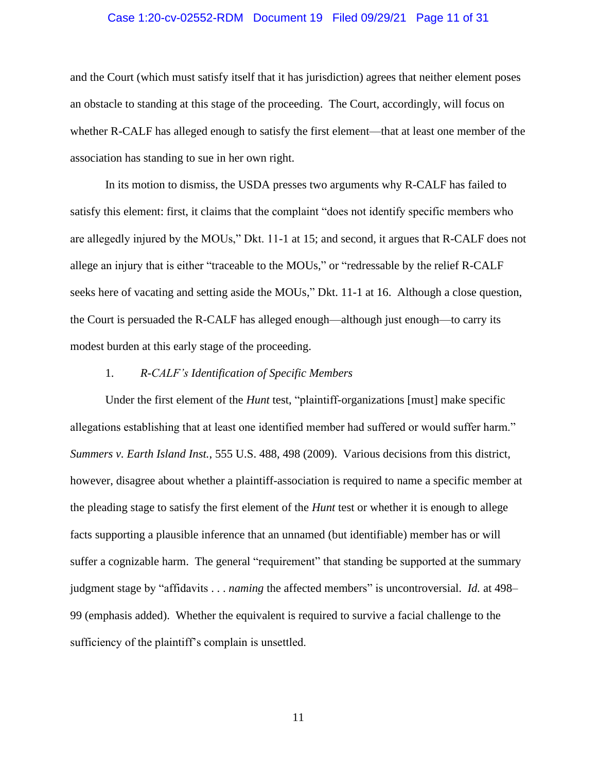### Case 1:20-cv-02552-RDM Document 19 Filed 09/29/21 Page 11 of 31

and the Court (which must satisfy itself that it has jurisdiction) agrees that neither element poses an obstacle to standing at this stage of the proceeding. The Court, accordingly, will focus on whether R-CALF has alleged enough to satisfy the first element—that at least one member of the association has standing to sue in her own right.

In its motion to dismiss, the USDA presses two arguments why R-CALF has failed to satisfy this element: first, it claims that the complaint "does not identify specific members who are allegedly injured by the MOUs," Dkt. 11-1 at 15; and second, it argues that R-CALF does not allege an injury that is either "traceable to the MOUs," or "redressable by the relief R-CALF seeks here of vacating and setting aside the MOUs," Dkt. 11-1 at 16. Although a close question, the Court is persuaded the R-CALF has alleged enough—although just enough—to carry its modest burden at this early stage of the proceeding.

## 1. *R-CALF's Identification of Specific Members*

Under the first element of the *Hunt* test, "plaintiff-organizations [must] make specific allegations establishing that at least one identified member had suffered or would suffer harm." *Summers v. Earth Island Inst.*, 555 U.S. 488, 498 (2009). Various decisions from this district, however, disagree about whether a plaintiff-association is required to name a specific member at the pleading stage to satisfy the first element of the *Hunt* test or whether it is enough to allege facts supporting a plausible inference that an unnamed (but identifiable) member has or will suffer a cognizable harm. The general "requirement" that standing be supported at the summary judgment stage by "affidavits . . . *naming* the affected members" is uncontroversial. *Id.* at 498– 99 (emphasis added). Whether the equivalent is required to survive a facial challenge to the sufficiency of the plaintiff's complain is unsettled.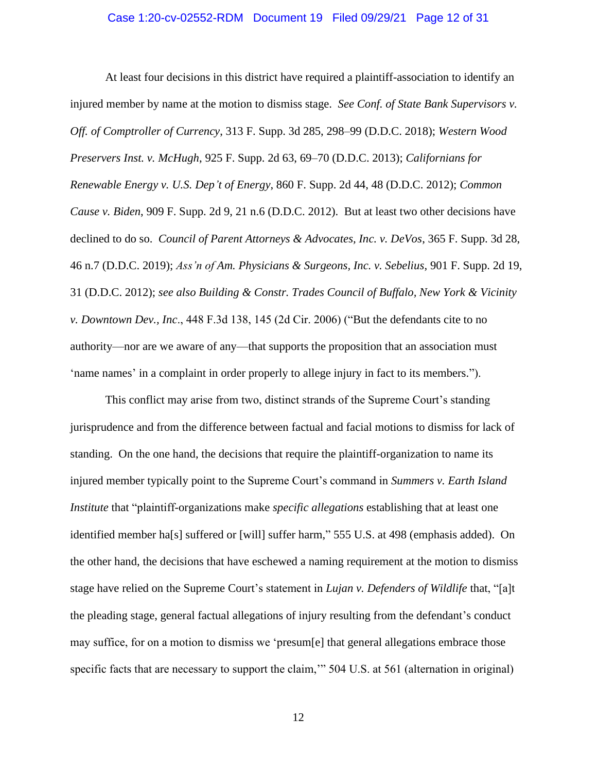### Case 1:20-cv-02552-RDM Document 19 Filed 09/29/21 Page 12 of 31

At least four decisions in this district have required a plaintiff-association to identify an injured member by name at the motion to dismiss stage. *See Conf. of State Bank Supervisors v. Off. of Comptroller of Currency*, 313 F. Supp. 3d 285, 298–99 (D.D.C. 2018); *Western Wood Preservers Inst. v. McHugh*, 925 F. Supp. 2d 63, 69–70 (D.D.C. 2013); *Californians for Renewable Energy v. U.S. Dep't of Energy*, 860 F. Supp. 2d 44, 48 (D.D.C. 2012); *Common Cause v. Biden*, 909 F. Supp. 2d 9, 21 n.6 (D.D.C. 2012). But at least two other decisions have declined to do so. *Council of Parent Attorneys & Advocates, Inc. v. DeVos*, 365 F. Supp. 3d 28, 46 n.7 (D.D.C. 2019); *Ass'n of Am. Physicians & Surgeons, Inc. v. Sebelius*, 901 F. Supp. 2d 19, 31 (D.D.C. 2012); *see also Building & Constr. Trades Council of Buffalo, New York & Vicinity v. Downtown Dev., Inc*., 448 F.3d 138, 145 (2d Cir. 2006) ("But the defendants cite to no authority—nor are we aware of any—that supports the proposition that an association must 'name names' in a complaint in order properly to allege injury in fact to its members.").

This conflict may arise from two, distinct strands of the Supreme Court's standing jurisprudence and from the difference between factual and facial motions to dismiss for lack of standing. On the one hand, the decisions that require the plaintiff-organization to name its injured member typically point to the Supreme Court's command in *Summers v. Earth Island Institute* that "plaintiff-organizations make *specific allegations* establishing that at least one identified member ha[s] suffered or [will] suffer harm," 555 U.S. at 498 (emphasis added). On the other hand, the decisions that have eschewed a naming requirement at the motion to dismiss stage have relied on the Supreme Court's statement in *Lujan v. Defenders of Wildlife* that, "[a]t the pleading stage, general factual allegations of injury resulting from the defendant's conduct may suffice, for on a motion to dismiss we 'presum[e] that general allegations embrace those specific facts that are necessary to support the claim," 504 U.S. at 561 (alternation in original)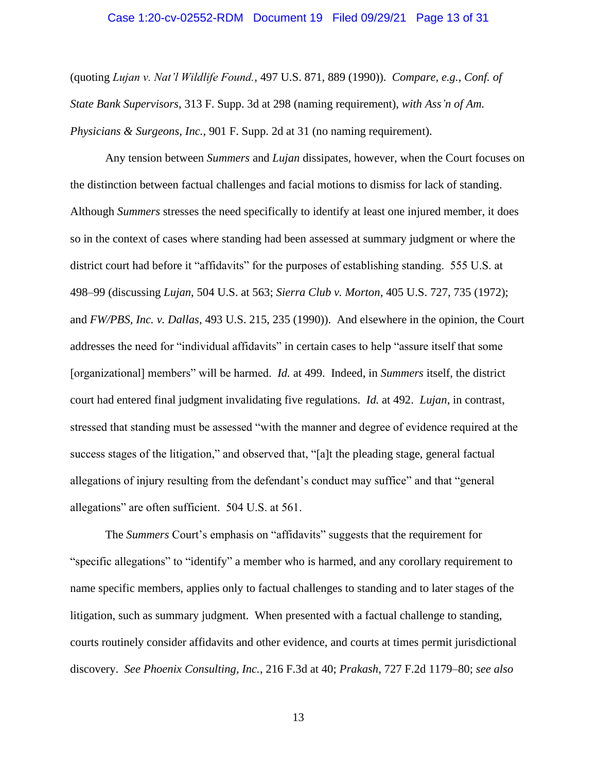#### Case 1:20-cv-02552-RDM Document 19 Filed 09/29/21 Page 13 of 31

(quoting *Lujan v. Nat'l Wildlife Found.*, 497 U.S. 871, 889 (1990)). *Compare, e.g.*, *Conf. of State Bank Supervisors*, 313 F. Supp. 3d at 298 (naming requirement), *with Ass'n of Am. Physicians & Surgeons, Inc.*, 901 F. Supp. 2d at 31 (no naming requirement).

Any tension between *Summers* and *Lujan* dissipates, however, when the Court focuses on the distinction between factual challenges and facial motions to dismiss for lack of standing. Although *Summers* stresses the need specifically to identify at least one injured member, it does so in the context of cases where standing had been assessed at summary judgment or where the district court had before it "affidavits" for the purposes of establishing standing. 555 U.S. at 498–99 (discussing *Lujan*, 504 U.S. at 563; *Sierra Club v. Morton*, 405 U.S. 727, 735 (1972); and *FW/PBS, Inc. v. Dallas*, 493 U.S. 215, 235 (1990)). And elsewhere in the opinion, the Court addresses the need for "individual affidavits" in certain cases to help "assure itself that some [organizational] members" will be harmed. *Id.* at 499. Indeed, in *Summers* itself, the district court had entered final judgment invalidating five regulations. *Id.* at 492. *Lujan*, in contrast, stressed that standing must be assessed "with the manner and degree of evidence required at the success stages of the litigation," and observed that, "[a]t the pleading stage, general factual allegations of injury resulting from the defendant's conduct may suffice" and that "general allegations" are often sufficient. 504 U.S. at 561.

The *Summers* Court's emphasis on "affidavits" suggests that the requirement for "specific allegations" to "identify" a member who is harmed, and any corollary requirement to name specific members, applies only to factual challenges to standing and to later stages of the litigation, such as summary judgment. When presented with a factual challenge to standing, courts routinely consider affidavits and other evidence, and courts at times permit jurisdictional discovery. *See Phoenix Consulting, Inc.*, 216 F.3d at 40; *Prakash*, 727 F.2d 1179–80; *see also*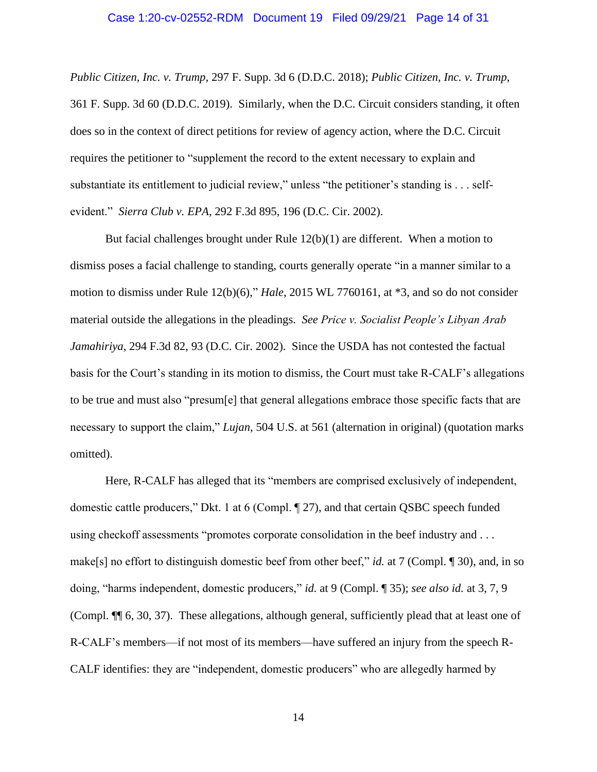#### Case 1:20-cv-02552-RDM Document 19 Filed 09/29/21 Page 14 of 31

*Public Citizen, Inc. v. Trump*, 297 F. Supp. 3d 6 (D.D.C. 2018); *Public Citizen, Inc. v. Trump*, 361 F. Supp. 3d 60 (D.D.C. 2019). Similarly, when the D.C. Circuit considers standing, it often does so in the context of direct petitions for review of agency action, where the D.C. Circuit requires the petitioner to "supplement the record to the extent necessary to explain and substantiate its entitlement to judicial review," unless "the petitioner's standing is . . . selfevident." *Sierra Club v. EPA*, 292 F.3d 895, 196 (D.C. Cir. 2002).

But facial challenges brought under Rule  $12(b)(1)$  are different. When a motion to dismiss poses a facial challenge to standing, courts generally operate "in a manner similar to a motion to dismiss under Rule 12(b)(6)," *Hale*, 2015 WL 7760161, at \*3, and so do not consider material outside the allegations in the pleadings. *See Price v. Socialist People's Libyan Arab Jamahiriya*, 294 F.3d 82, 93 (D.C. Cir. 2002). Since the USDA has not contested the factual basis for the Court's standing in its motion to dismiss, the Court must take R-CALF's allegations to be true and must also "presum[e] that general allegations embrace those specific facts that are necessary to support the claim," *Lujan*, 504 U.S. at 561 (alternation in original) (quotation marks omitted).

Here, R-CALF has alleged that its "members are comprised exclusively of independent, domestic cattle producers," Dkt. 1 at 6 (Compl. ¶ 27), and that certain QSBC speech funded using checkoff assessments "promotes corporate consolidation in the beef industry and . . . make[s] no effort to distinguish domestic beef from other beef," *id.* at 7 (Compl. ¶ 30), and, in so doing, "harms independent, domestic producers," *id.* at 9 (Compl. ¶ 35); *see also id.* at 3, 7, 9 (Compl. ¶¶ 6, 30, 37). These allegations, although general, sufficiently plead that at least one of R-CALF's members—if not most of its members—have suffered an injury from the speech R-CALF identifies: they are "independent, domestic producers" who are allegedly harmed by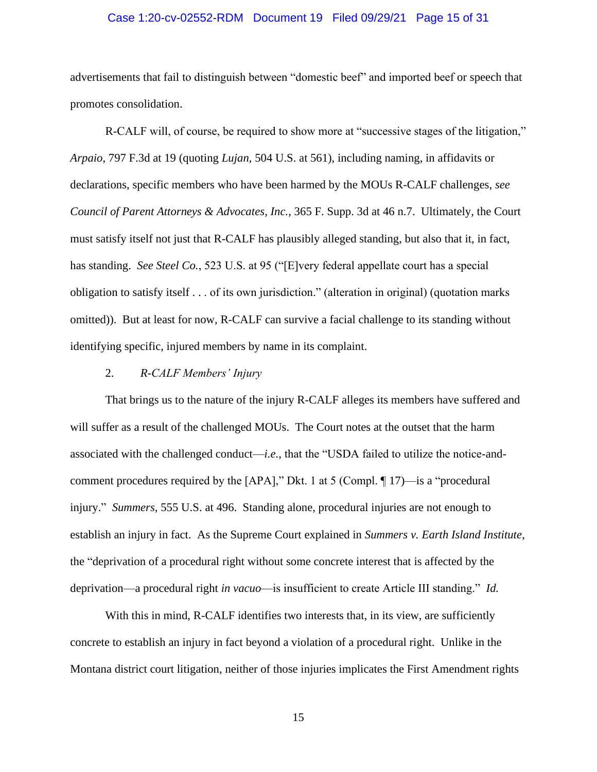### Case 1:20-cv-02552-RDM Document 19 Filed 09/29/21 Page 15 of 31

advertisements that fail to distinguish between "domestic beef" and imported beef or speech that promotes consolidation.

R-CALF will, of course, be required to show more at "successive stages of the litigation," *Arpaio*, 797 F.3d at 19 (quoting *Lujan*, 504 U.S. at 561), including naming, in affidavits or declarations, specific members who have been harmed by the MOUs R-CALF challenges, *see Council of Parent Attorneys & Advocates, Inc.*, 365 F. Supp. 3d at 46 n.7. Ultimately, the Court must satisfy itself not just that R-CALF has plausibly alleged standing, but also that it, in fact, has standing. *See Steel Co.*, 523 U.S. at 95 ("[E]very federal appellate court has a special obligation to satisfy itself . . . of its own jurisdiction." (alteration in original) (quotation marks omitted)). But at least for now, R-CALF can survive a facial challenge to its standing without identifying specific, injured members by name in its complaint.

### 2. *R-CALF Members' Injury*

That brings us to the nature of the injury R-CALF alleges its members have suffered and will suffer as a result of the challenged MOUs. The Court notes at the outset that the harm associated with the challenged conduct—*i.e.*, that the "USDA failed to utilize the notice-andcomment procedures required by the [APA]," Dkt. 1 at 5 (Compl. ¶ 17)—is a "procedural injury." *Summers*, 555 U.S. at 496. Standing alone, procedural injuries are not enough to establish an injury in fact. As the Supreme Court explained in *Summers v. Earth Island Institute*, the "deprivation of a procedural right without some concrete interest that is affected by the deprivation—a procedural right *in vacuo*—is insufficient to create Article III standing." *Id.* 

With this in mind, R-CALF identifies two interests that, in its view, are sufficiently concrete to establish an injury in fact beyond a violation of a procedural right. Unlike in the Montana district court litigation, neither of those injuries implicates the First Amendment rights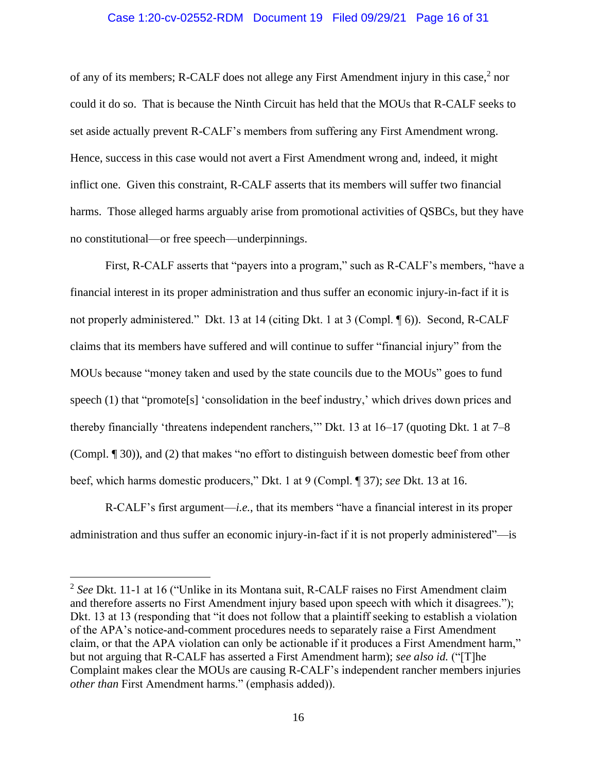### Case 1:20-cv-02552-RDM Document 19 Filed 09/29/21 Page 16 of 31

of any of its members; R-CALF does not allege any First Amendment injury in this case,<sup>2</sup> nor could it do so. That is because the Ninth Circuit has held that the MOUs that R-CALF seeks to set aside actually prevent R-CALF's members from suffering any First Amendment wrong. Hence, success in this case would not avert a First Amendment wrong and, indeed, it might inflict one. Given this constraint, R-CALF asserts that its members will suffer two financial harms. Those alleged harms arguably arise from promotional activities of QSBCs, but they have no constitutional—or free speech—underpinnings.

First, R-CALF asserts that "payers into a program," such as R-CALF's members, "have a financial interest in its proper administration and thus suffer an economic injury-in-fact if it is not properly administered." Dkt. 13 at 14 (citing Dkt. 1 at 3 (Compl. ¶ 6)). Second, R-CALF claims that its members have suffered and will continue to suffer "financial injury" from the MOUs because "money taken and used by the state councils due to the MOUs" goes to fund speech (1) that "promote<sup>[s]</sup> 'consolidation in the beef industry,' which drives down prices and thereby financially 'threatens independent ranchers,'" Dkt. 13 at 16–17 (quoting Dkt. 1 at 7–8 (Compl. ¶ 30)), and (2) that makes "no effort to distinguish between domestic beef from other beef, which harms domestic producers," Dkt. 1 at 9 (Compl. ¶ 37); *see* Dkt. 13 at 16.

R-CALF's first argument—*i.e.*, that its members "have a financial interest in its proper administration and thus suffer an economic injury-in-fact if it is not properly administered"—is

<sup>2</sup> *See* Dkt. 11-1 at 16 ("Unlike in its Montana suit, R-CALF raises no First Amendment claim and therefore asserts no First Amendment injury based upon speech with which it disagrees."); Dkt. 13 at 13 (responding that "it does not follow that a plaintiff seeking to establish a violation of the APA's notice-and-comment procedures needs to separately raise a First Amendment claim, or that the APA violation can only be actionable if it produces a First Amendment harm," but not arguing that R-CALF has asserted a First Amendment harm); *see also id.* ("[T]he Complaint makes clear the MOUs are causing R-CALF's independent rancher members injuries *other than* First Amendment harms." (emphasis added)).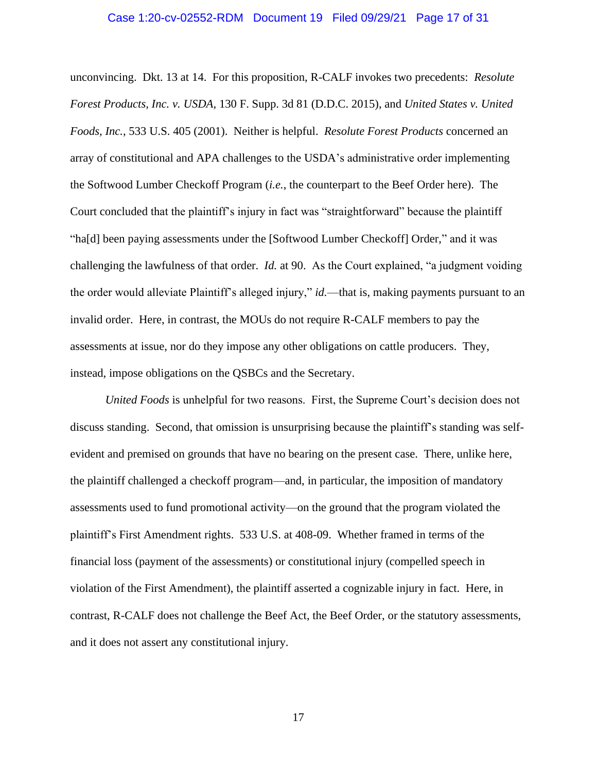#### Case 1:20-cv-02552-RDM Document 19 Filed 09/29/21 Page 17 of 31

unconvincing. Dkt. 13 at 14. For this proposition, R-CALF invokes two precedents: *Resolute Forest Products, Inc. v. USDA*, 130 F. Supp. 3d 81 (D.D.C. 2015), and *United States v. United Foods, Inc.*, 533 U.S. 405 (2001). Neither is helpful. *Resolute Forest Products* concerned an array of constitutional and APA challenges to the USDA's administrative order implementing the Softwood Lumber Checkoff Program (*i.e.*, the counterpart to the Beef Order here). The Court concluded that the plaintiff's injury in fact was "straightforward" because the plaintiff "ha[d] been paying assessments under the [Softwood Lumber Checkoff] Order," and it was challenging the lawfulness of that order. *Id.* at 90. As the Court explained, "a judgment voiding the order would alleviate Plaintiff's alleged injury," *id.*—that is, making payments pursuant to an invalid order. Here, in contrast, the MOUs do not require R-CALF members to pay the assessments at issue, nor do they impose any other obligations on cattle producers. They, instead, impose obligations on the QSBCs and the Secretary.

*United Foods* is unhelpful for two reasons. First, the Supreme Court's decision does not discuss standing. Second, that omission is unsurprising because the plaintiff's standing was selfevident and premised on grounds that have no bearing on the present case. There, unlike here, the plaintiff challenged a checkoff program—and, in particular, the imposition of mandatory assessments used to fund promotional activity—on the ground that the program violated the plaintiff's First Amendment rights. 533 U.S. at 408-09. Whether framed in terms of the financial loss (payment of the assessments) or constitutional injury (compelled speech in violation of the First Amendment), the plaintiff asserted a cognizable injury in fact. Here, in contrast, R-CALF does not challenge the Beef Act, the Beef Order, or the statutory assessments, and it does not assert any constitutional injury.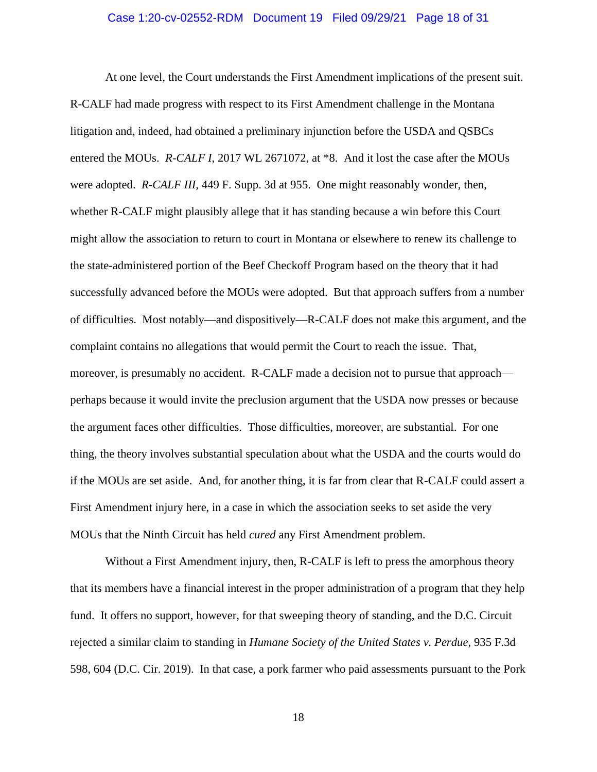#### Case 1:20-cv-02552-RDM Document 19 Filed 09/29/21 Page 18 of 31

At one level, the Court understands the First Amendment implications of the present suit. R-CALF had made progress with respect to its First Amendment challenge in the Montana litigation and, indeed, had obtained a preliminary injunction before the USDA and QSBCs entered the MOUs. *R-CALF I*, 2017 WL 2671072, at \*8. And it lost the case after the MOUs were adopted. *R-CALF III*, 449 F. Supp. 3d at 955. One might reasonably wonder, then, whether R-CALF might plausibly allege that it has standing because a win before this Court might allow the association to return to court in Montana or elsewhere to renew its challenge to the state-administered portion of the Beef Checkoff Program based on the theory that it had successfully advanced before the MOUs were adopted. But that approach suffers from a number of difficulties. Most notably—and dispositively—R-CALF does not make this argument, and the complaint contains no allegations that would permit the Court to reach the issue. That, moreover, is presumably no accident. R-CALF made a decision not to pursue that approach perhaps because it would invite the preclusion argument that the USDA now presses or because the argument faces other difficulties. Those difficulties, moreover, are substantial. For one thing, the theory involves substantial speculation about what the USDA and the courts would do if the MOUs are set aside. And, for another thing, it is far from clear that R-CALF could assert a First Amendment injury here, in a case in which the association seeks to set aside the very MOUs that the Ninth Circuit has held *cured* any First Amendment problem.

Without a First Amendment injury, then, R-CALF is left to press the amorphous theory that its members have a financial interest in the proper administration of a program that they help fund. It offers no support, however, for that sweeping theory of standing, and the D.C. Circuit rejected a similar claim to standing in *Humane Society of the United States v. Perdue*, 935 F.3d 598, 604 (D.C. Cir. 2019). In that case, a pork farmer who paid assessments pursuant to the Pork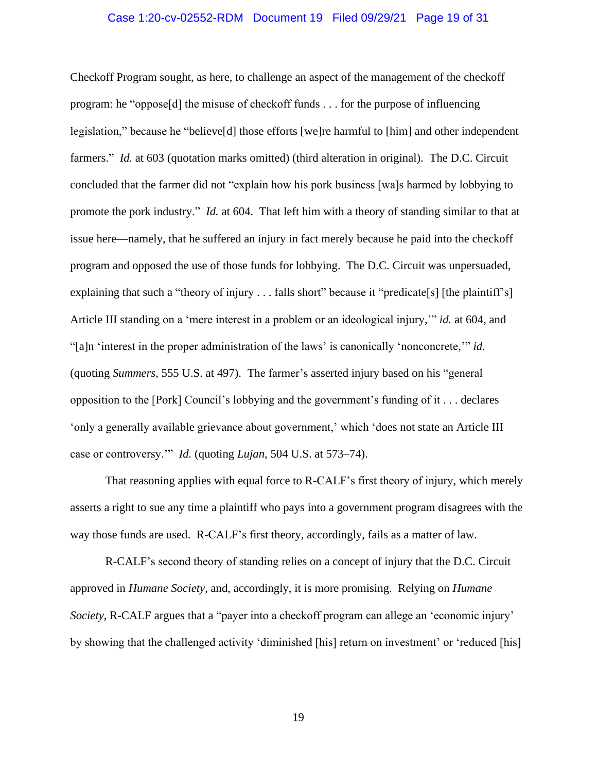### Case 1:20-cv-02552-RDM Document 19 Filed 09/29/21 Page 19 of 31

Checkoff Program sought, as here, to challenge an aspect of the management of the checkoff program: he "oppose[d] the misuse of checkoff funds . . . for the purpose of influencing legislation," because he "believe[d] those efforts [we]re harmful to [him] and other independent farmers." *Id.* at 603 (quotation marks omitted) (third alteration in original). The D.C. Circuit concluded that the farmer did not "explain how his pork business [wa]s harmed by lobbying to promote the pork industry." *Id.* at 604. That left him with a theory of standing similar to that at issue here—namely, that he suffered an injury in fact merely because he paid into the checkoff program and opposed the use of those funds for lobbying. The D.C. Circuit was unpersuaded, explaining that such a "theory of injury . . . falls short" because it "predicate[s] [the plaintiff's] Article III standing on a 'mere interest in a problem or an ideological injury,'" *id.* at 604, and "[a]n 'interest in the proper administration of the laws' is canonically 'nonconcrete,'" *id.* (quoting *Summers*, 555 U.S. at 497). The farmer's asserted injury based on his "general opposition to the [Pork] Council's lobbying and the government's funding of it . . . declares 'only a generally available grievance about government,' which 'does not state an Article III case or controversy.'" *Id.* (quoting *Lujan*, 504 U.S. at 573–74).

That reasoning applies with equal force to R-CALF's first theory of injury, which merely asserts a right to sue any time a plaintiff who pays into a government program disagrees with the way those funds are used. R-CALF's first theory, accordingly, fails as a matter of law.

R-CALF's second theory of standing relies on a concept of injury that the D.C. Circuit approved in *Humane Society*, and, accordingly, it is more promising. Relying on *Humane Society*, R-CALF argues that a "payer into a checkoff program can allege an 'economic injury' by showing that the challenged activity 'diminished [his] return on investment' or 'reduced [his]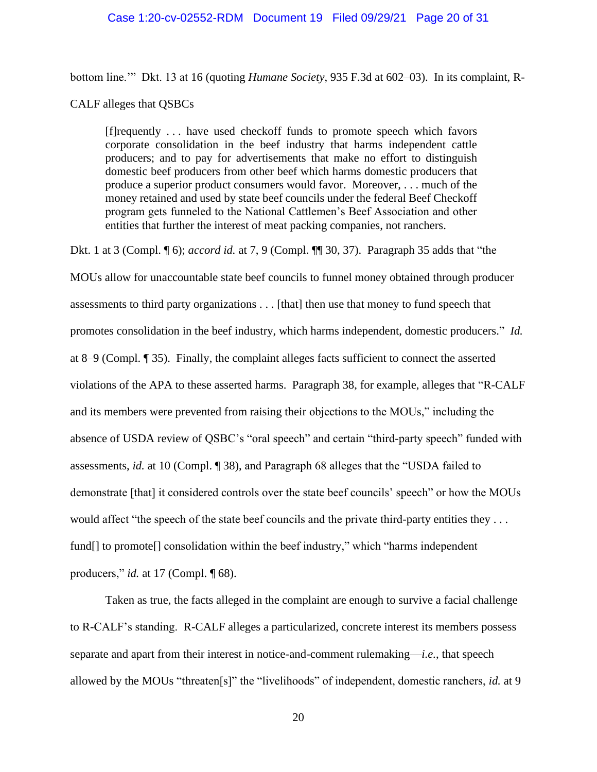### Case 1:20-cv-02552-RDM Document 19 Filed 09/29/21 Page 20 of 31

bottom line.'" Dkt. 13 at 16 (quoting *Humane Society*, 935 F.3d at 602–03). In its complaint, R-

CALF alleges that QSBCs

[f]requently . . . have used checkoff funds to promote speech which favors corporate consolidation in the beef industry that harms independent cattle producers; and to pay for advertisements that make no effort to distinguish domestic beef producers from other beef which harms domestic producers that produce a superior product consumers would favor. Moreover, . . . much of the money retained and used by state beef councils under the federal Beef Checkoff program gets funneled to the National Cattlemen's Beef Association and other entities that further the interest of meat packing companies, not ranchers.

Dkt. 1 at 3 (Compl. ¶ 6); *accord id.* at 7, 9 (Compl. ¶¶ 30, 37). Paragraph 35 adds that "the

MOUs allow for unaccountable state beef councils to funnel money obtained through producer assessments to third party organizations . . . [that] then use that money to fund speech that promotes consolidation in the beef industry, which harms independent, domestic producers." *Id.*  at 8–9 (Compl. ¶ 35). Finally, the complaint alleges facts sufficient to connect the asserted violations of the APA to these asserted harms. Paragraph 38, for example, alleges that "R-CALF and its members were prevented from raising their objections to the MOUs," including the absence of USDA review of QSBC's "oral speech" and certain "third-party speech" funded with assessments, *id.* at 10 (Compl. ¶ 38), and Paragraph 68 alleges that the "USDA failed to demonstrate [that] it considered controls over the state beef councils' speech" or how the MOUs would affect "the speech of the state beef councils and the private third-party entities they ... fund[] to promote[] consolidation within the beef industry," which "harms independent producers," *id.* at 17 (Compl. ¶ 68).

Taken as true, the facts alleged in the complaint are enough to survive a facial challenge to R-CALF's standing. R-CALF alleges a particularized, concrete interest its members possess separate and apart from their interest in notice-and-comment rulemaking—*i.e.*, that speech allowed by the MOUs "threaten[s]" the "livelihoods" of independent, domestic ranchers, *id.* at 9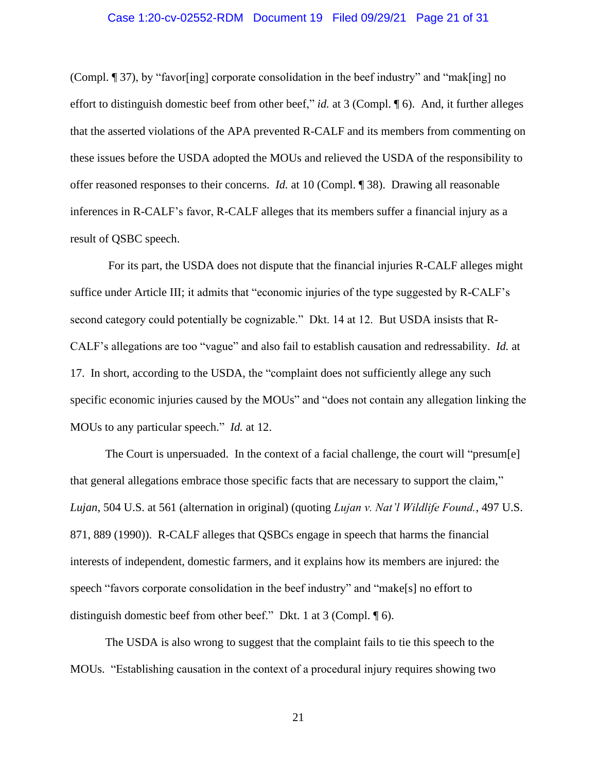### Case 1:20-cv-02552-RDM Document 19 Filed 09/29/21 Page 21 of 31

(Compl. ¶ 37), by "favor[ing] corporate consolidation in the beef industry" and "mak[ing] no effort to distinguish domestic beef from other beef," *id.* at 3 (Compl. ¶ 6). And, it further alleges that the asserted violations of the APA prevented R-CALF and its members from commenting on these issues before the USDA adopted the MOUs and relieved the USDA of the responsibility to offer reasoned responses to their concerns. *Id.* at 10 (Compl. ¶ 38). Drawing all reasonable inferences in R-CALF's favor, R-CALF alleges that its members suffer a financial injury as a result of QSBC speech.

For its part, the USDA does not dispute that the financial injuries R-CALF alleges might suffice under Article III; it admits that "economic injuries of the type suggested by R-CALF's second category could potentially be cognizable." Dkt. 14 at 12. But USDA insists that R-CALF's allegations are too "vague" and also fail to establish causation and redressability. *Id.* at 17. In short, according to the USDA, the "complaint does not sufficiently allege any such specific economic injuries caused by the MOUs" and "does not contain any allegation linking the MOUs to any particular speech." *Id.* at 12.

The Court is unpersuaded. In the context of a facial challenge, the court will "presum[e] that general allegations embrace those specific facts that are necessary to support the claim," *Lujan*, 504 U.S. at 561 (alternation in original) (quoting *Lujan v. Nat'l Wildlife Found.*, 497 U.S. 871, 889 (1990)). R-CALF alleges that QSBCs engage in speech that harms the financial interests of independent, domestic farmers, and it explains how its members are injured: the speech "favors corporate consolidation in the beef industry" and "make[s] no effort to distinguish domestic beef from other beef." Dkt. 1 at 3 (Compl. ¶ 6).

The USDA is also wrong to suggest that the complaint fails to tie this speech to the MOUs. "Establishing causation in the context of a procedural injury requires showing two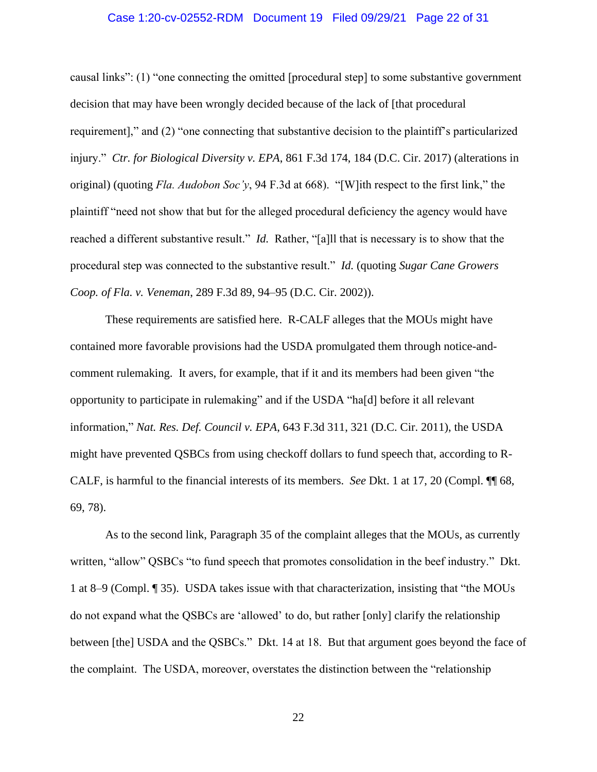### Case 1:20-cv-02552-RDM Document 19 Filed 09/29/21 Page 22 of 31

causal links": (1) "one connecting the omitted [procedural step] to some substantive government decision that may have been wrongly decided because of the lack of [that procedural requirement]," and (2) "one connecting that substantive decision to the plaintiff's particularized injury." *Ctr. for Biological Diversity v. EPA*, 861 F.3d 174, 184 (D.C. Cir. 2017) (alterations in original) (quoting *Fla. Audobon Soc'y*, 94 F.3d at 668). "[W]ith respect to the first link," the plaintiff "need not show that but for the alleged procedural deficiency the agency would have reached a different substantive result." *Id.* Rather, "[a]ll that is necessary is to show that the procedural step was connected to the substantive result." *Id.* (quoting *Sugar Cane Growers Coop. of Fla. v. Veneman*, 289 F.3d 89, 94–95 (D.C. Cir. 2002)).

These requirements are satisfied here. R-CALF alleges that the MOUs might have contained more favorable provisions had the USDA promulgated them through notice-andcomment rulemaking. It avers, for example, that if it and its members had been given "the opportunity to participate in rulemaking" and if the USDA "ha[d] before it all relevant information," *Nat. Res. Def. Council v. EPA*, 643 F.3d 311, 321 (D.C. Cir. 2011), the USDA might have prevented QSBCs from using checkoff dollars to fund speech that, according to R-CALF, is harmful to the financial interests of its members. *See* Dkt. 1 at 17, 20 (Compl. ¶¶ 68, 69, 78).

As to the second link, Paragraph 35 of the complaint alleges that the MOUs, as currently written, "allow" QSBCs "to fund speech that promotes consolidation in the beef industry." Dkt. 1 at 8–9 (Compl. ¶ 35). USDA takes issue with that characterization, insisting that "the MOUs do not expand what the QSBCs are 'allowed' to do, but rather [only] clarify the relationship between [the] USDA and the QSBCs." Dkt. 14 at 18. But that argument goes beyond the face of the complaint. The USDA, moreover, overstates the distinction between the "relationship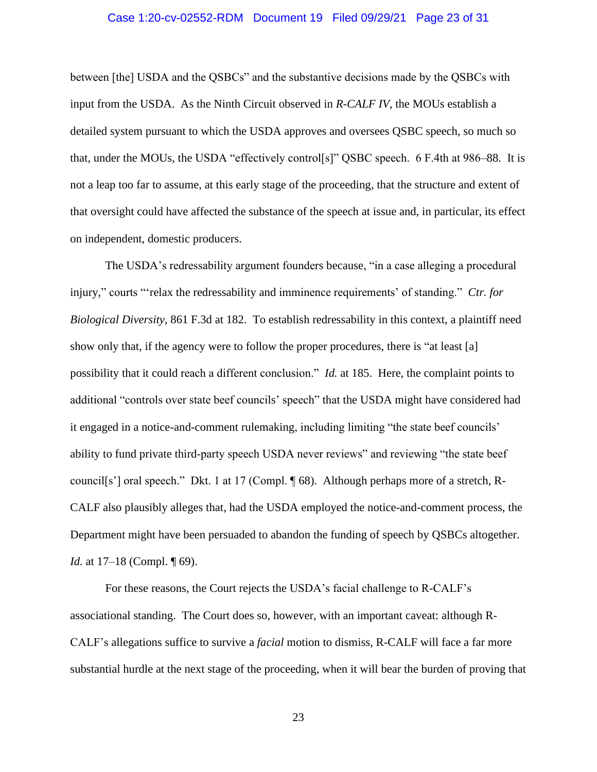### Case 1:20-cv-02552-RDM Document 19 Filed 09/29/21 Page 23 of 31

between [the] USDA and the QSBCs" and the substantive decisions made by the QSBCs with input from the USDA. As the Ninth Circuit observed in *R-CALF IV*, the MOUs establish a detailed system pursuant to which the USDA approves and oversees QSBC speech, so much so that, under the MOUs, the USDA "effectively control[s]" QSBC speech. 6 F.4th at 986–88. It is not a leap too far to assume, at this early stage of the proceeding, that the structure and extent of that oversight could have affected the substance of the speech at issue and, in particular, its effect on independent, domestic producers.

The USDA's redressability argument founders because, "in a case alleging a procedural injury," courts "'relax the redressability and imminence requirements' of standing." *Ctr. for Biological Diversity*, 861 F.3d at 182. To establish redressability in this context, a plaintiff need show only that, if the agency were to follow the proper procedures, there is "at least [a] possibility that it could reach a different conclusion." *Id.* at 185. Here, the complaint points to additional "controls over state beef councils' speech" that the USDA might have considered had it engaged in a notice-and-comment rulemaking, including limiting "the state beef councils' ability to fund private third-party speech USDA never reviews" and reviewing "the state beef council[s'] oral speech." Dkt. 1 at 17 (Compl. ¶ 68). Although perhaps more of a stretch, R-CALF also plausibly alleges that, had the USDA employed the notice-and-comment process, the Department might have been persuaded to abandon the funding of speech by QSBCs altogether. *Id.* at 17–18 (Compl. ¶ 69).

For these reasons, the Court rejects the USDA's facial challenge to R-CALF's associational standing. The Court does so, however, with an important caveat: although R-CALF's allegations suffice to survive a *facial* motion to dismiss, R-CALF will face a far more substantial hurdle at the next stage of the proceeding, when it will bear the burden of proving that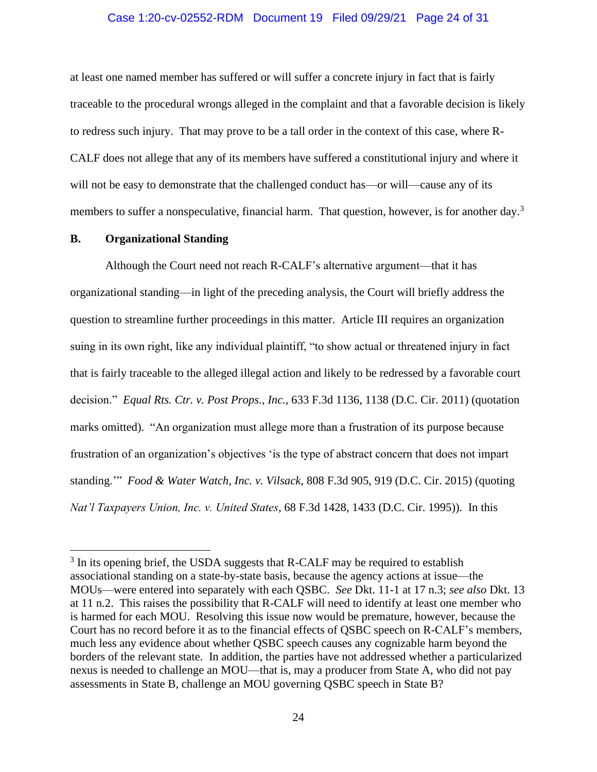### Case 1:20-cv-02552-RDM Document 19 Filed 09/29/21 Page 24 of 31

at least one named member has suffered or will suffer a concrete injury in fact that is fairly traceable to the procedural wrongs alleged in the complaint and that a favorable decision is likely to redress such injury. That may prove to be a tall order in the context of this case, where R-CALF does not allege that any of its members have suffered a constitutional injury and where it will not be easy to demonstrate that the challenged conduct has—or will—cause any of its members to suffer a nonspeculative, financial harm. That question, however, is for another day.<sup>3</sup>

#### **B. Organizational Standing**

Although the Court need not reach R-CALF's alternative argument—that it has organizational standing—in light of the preceding analysis, the Court will briefly address the question to streamline further proceedings in this matter. Article III requires an organization suing in its own right, like any individual plaintiff, "to show actual or threatened injury in fact that is fairly traceable to the alleged illegal action and likely to be redressed by a favorable court decision." *Equal Rts. Ctr. v. Post Props., Inc.*, 633 F.3d 1136, 1138 (D.C. Cir. 2011) (quotation marks omitted). "An organization must allege more than a frustration of its purpose because frustration of an organization's objectives 'is the type of abstract concern that does not impart standing.'" *Food & Water Watch, Inc. v. Vilsack*, 808 F.3d 905, 919 (D.C. Cir. 2015) (quoting *Nat'l Taxpayers Union, Inc. v. United States*, 68 F.3d 1428, 1433 (D.C. Cir. 1995)). In this

 $3$  In its opening brief, the USDA suggests that R-CALF may be required to establish associational standing on a state-by-state basis, because the agency actions at issue—the MOUs—were entered into separately with each QSBC. *See* Dkt. 11-1 at 17 n.3; *see also* Dkt. 13 at 11 n.2. This raises the possibility that R-CALF will need to identify at least one member who is harmed for each MOU. Resolving this issue now would be premature, however, because the Court has no record before it as to the financial effects of QSBC speech on R-CALF's members, much less any evidence about whether QSBC speech causes any cognizable harm beyond the borders of the relevant state. In addition, the parties have not addressed whether a particularized nexus is needed to challenge an MOU—that is, may a producer from State A, who did not pay assessments in State B, challenge an MOU governing QSBC speech in State B?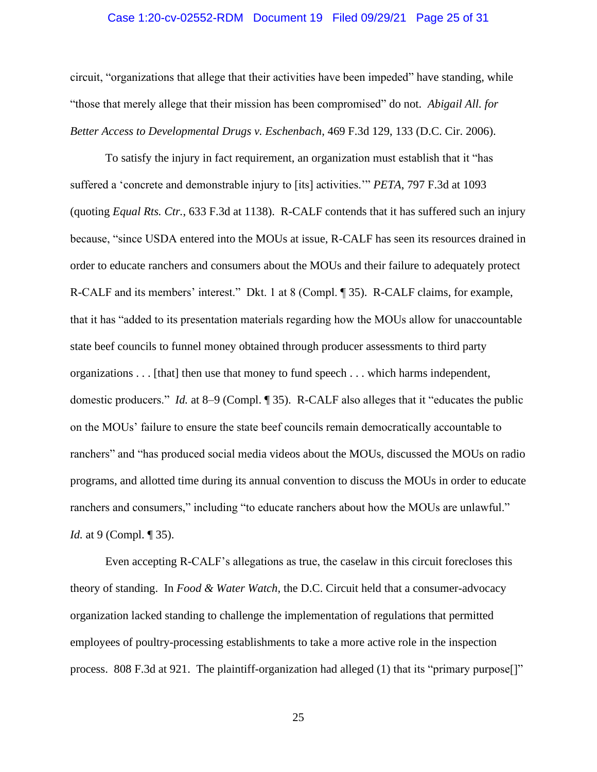### Case 1:20-cv-02552-RDM Document 19 Filed 09/29/21 Page 25 of 31

circuit, "organizations that allege that their activities have been impeded" have standing, while "those that merely allege that their mission has been compromised" do not. *Abigail All. for Better Access to Developmental Drugs v. Eschenbach*, 469 F.3d 129, 133 (D.C. Cir. 2006).

To satisfy the injury in fact requirement, an organization must establish that it "has suffered a 'concrete and demonstrable injury to [its] activities.'" *PETA*, 797 F.3d at 1093 (quoting *Equal Rts. Ctr.*, 633 F.3d at 1138). R-CALF contends that it has suffered such an injury because, "since USDA entered into the MOUs at issue, R-CALF has seen its resources drained in order to educate ranchers and consumers about the MOUs and their failure to adequately protect R-CALF and its members' interest." Dkt. 1 at 8 (Compl. ¶ 35). R-CALF claims, for example, that it has "added to its presentation materials regarding how the MOUs allow for unaccountable state beef councils to funnel money obtained through producer assessments to third party organizations . . . [that] then use that money to fund speech . . . which harms independent, domestic producers." *Id.* at 8–9 (Compl. ¶ 35). R-CALF also alleges that it "educates the public on the MOUs' failure to ensure the state beef councils remain democratically accountable to ranchers" and "has produced social media videos about the MOUs, discussed the MOUs on radio programs, and allotted time during its annual convention to discuss the MOUs in order to educate ranchers and consumers," including "to educate ranchers about how the MOUs are unlawful." *Id.* at 9 (Compl. ¶ 35).

Even accepting R-CALF's allegations as true, the caselaw in this circuit forecloses this theory of standing. In *Food & Water Watch*, the D.C. Circuit held that a consumer-advocacy organization lacked standing to challenge the implementation of regulations that permitted employees of poultry-processing establishments to take a more active role in the inspection process. 808 F.3d at 921. The plaintiff-organization had alleged (1) that its "primary purpose<sup>[]"</sup>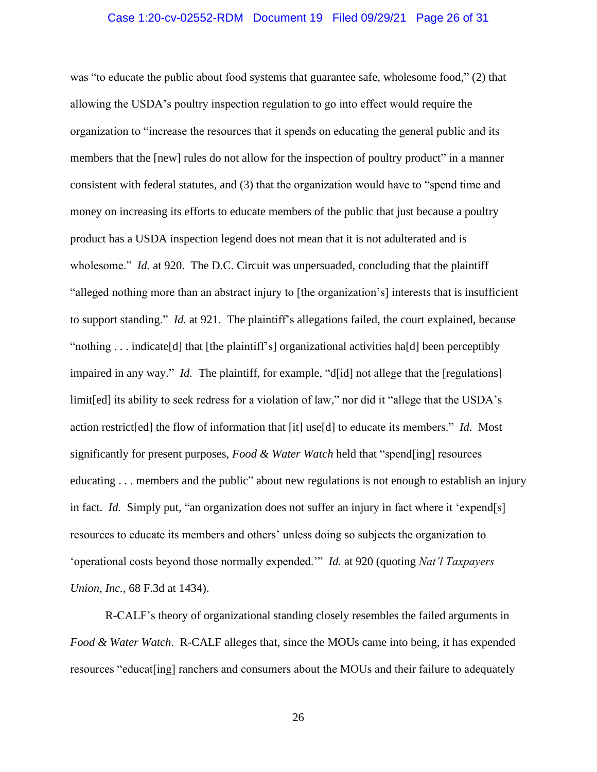### Case 1:20-cv-02552-RDM Document 19 Filed 09/29/21 Page 26 of 31

was "to educate the public about food systems that guarantee safe, wholesome food," (2) that allowing the USDA's poultry inspection regulation to go into effect would require the organization to "increase the resources that it spends on educating the general public and its members that the [new] rules do not allow for the inspection of poultry product" in a manner consistent with federal statutes, and (3) that the organization would have to "spend time and money on increasing its efforts to educate members of the public that just because a poultry product has a USDA inspection legend does not mean that it is not adulterated and is wholesome." *Id.* at 920. The D.C. Circuit was unpersuaded, concluding that the plaintiff "alleged nothing more than an abstract injury to [the organization's] interests that is insufficient to support standing." *Id.* at 921. The plaintiff's allegations failed, the court explained, because "nothing . . . indicate[d] that [the plaintiff's] organizational activities ha[d] been perceptibly impaired in any way." *Id.* The plaintiff, for example, "d[id] not allege that the [regulations] limit[ed] its ability to seek redress for a violation of law," nor did it "allege that the USDA's action restrict[ed] the flow of information that [it] use[d] to educate its members." *Id.* Most significantly for present purposes, *Food & Water Watch* held that "spend[ing] resources educating . . . members and the public" about new regulations is not enough to establish an injury in fact. *Id.* Simply put, "an organization does not suffer an injury in fact where it 'expend[s] resources to educate its members and others' unless doing so subjects the organization to 'operational costs beyond those normally expended.'" *Id.* at 920 (quoting *Nat'l Taxpayers Union, Inc.*, 68 F.3d at 1434).

R-CALF's theory of organizational standing closely resembles the failed arguments in *Food & Water Watch*. R-CALF alleges that, since the MOUs came into being, it has expended resources "educat[ing] ranchers and consumers about the MOUs and their failure to adequately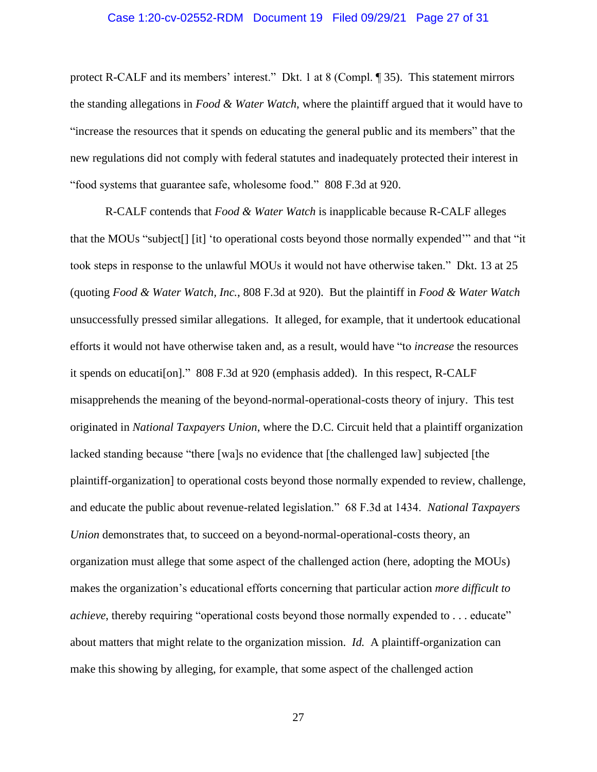### Case 1:20-cv-02552-RDM Document 19 Filed 09/29/21 Page 27 of 31

protect R-CALF and its members' interest." Dkt. 1 at 8 (Compl. ¶ 35). This statement mirrors the standing allegations in *Food & Water Watch*, where the plaintiff argued that it would have to "increase the resources that it spends on educating the general public and its members" that the new regulations did not comply with federal statutes and inadequately protected their interest in "food systems that guarantee safe, wholesome food." 808 F.3d at 920.

R-CALF contends that *Food & Water Watch* is inapplicable because R-CALF alleges that the MOUs "subject[] [it] 'to operational costs beyond those normally expended'" and that "it took steps in response to the unlawful MOUs it would not have otherwise taken." Dkt. 13 at 25 (quoting *Food & Water Watch, Inc.*, 808 F.3d at 920). But the plaintiff in *Food & Water Watch*  unsuccessfully pressed similar allegations. It alleged, for example, that it undertook educational efforts it would not have otherwise taken and, as a result, would have "to *increase* the resources it spends on educati[on]." 808 F.3d at 920 (emphasis added). In this respect, R-CALF misapprehends the meaning of the beyond-normal-operational-costs theory of injury. This test originated in *National Taxpayers Union*, where the D.C. Circuit held that a plaintiff organization lacked standing because "there [wa]s no evidence that [the challenged law] subjected [the plaintiff-organization] to operational costs beyond those normally expended to review, challenge, and educate the public about revenue-related legislation." 68 F.3d at 1434. *National Taxpayers Union* demonstrates that, to succeed on a beyond-normal-operational-costs theory, an organization must allege that some aspect of the challenged action (here, adopting the MOUs) makes the organization's educational efforts concerning that particular action *more difficult to achieve*, thereby requiring "operational costs beyond those normally expended to . . . educate" about matters that might relate to the organization mission. *Id.* A plaintiff-organization can make this showing by alleging, for example, that some aspect of the challenged action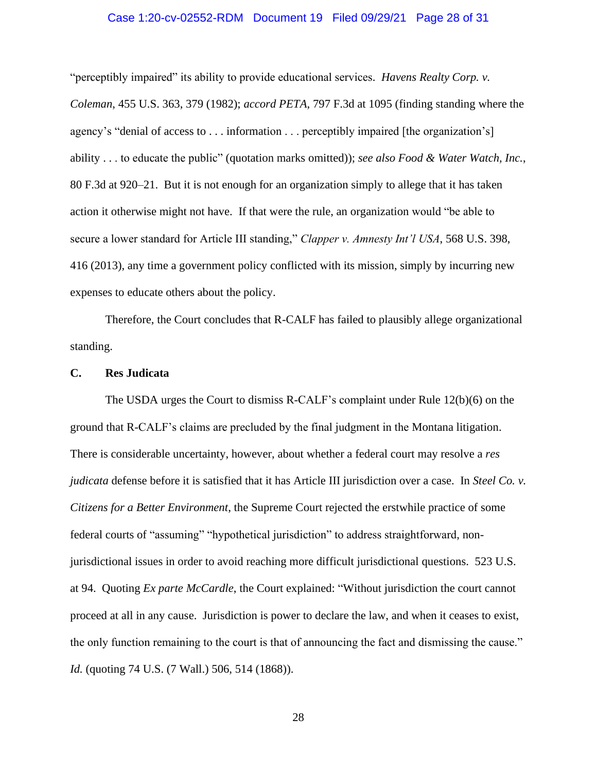#### Case 1:20-cv-02552-RDM Document 19 Filed 09/29/21 Page 28 of 31

"perceptibly impaired" its ability to provide educational services. *Havens Realty Corp. v. Coleman*, 455 U.S. 363, 379 (1982); *accord PETA*, 797 F.3d at 1095 (finding standing where the agency's "denial of access to . . . information . . . perceptibly impaired [the organization's] ability . . . to educate the public" (quotation marks omitted)); *see also Food & Water Watch, Inc.*, 80 F.3d at 920–21. But it is not enough for an organization simply to allege that it has taken action it otherwise might not have. If that were the rule, an organization would "be able to secure a lower standard for Article III standing," *Clapper v. Amnesty Int'l USA*, 568 U.S. 398, 416 (2013), any time a government policy conflicted with its mission, simply by incurring new expenses to educate others about the policy.

Therefore, the Court concludes that R-CALF has failed to plausibly allege organizational standing.

### **C. Res Judicata**

The USDA urges the Court to dismiss R-CALF's complaint under Rule 12(b)(6) on the ground that R-CALF's claims are precluded by the final judgment in the Montana litigation. There is considerable uncertainty, however, about whether a federal court may resolve a *res judicata* defense before it is satisfied that it has Article III jurisdiction over a case. In *Steel Co. v. Citizens for a Better Environment*, the Supreme Court rejected the erstwhile practice of some federal courts of "assuming" "hypothetical jurisdiction" to address straightforward, nonjurisdictional issues in order to avoid reaching more difficult jurisdictional questions. 523 U.S. at 94. Quoting *Ex parte McCardle*, the Court explained: "Without jurisdiction the court cannot proceed at all in any cause. Jurisdiction is power to declare the law, and when it ceases to exist, the only function remaining to the court is that of announcing the fact and dismissing the cause." *Id.* (quoting 74 U.S. (7 Wall.) 506, 514 (1868)).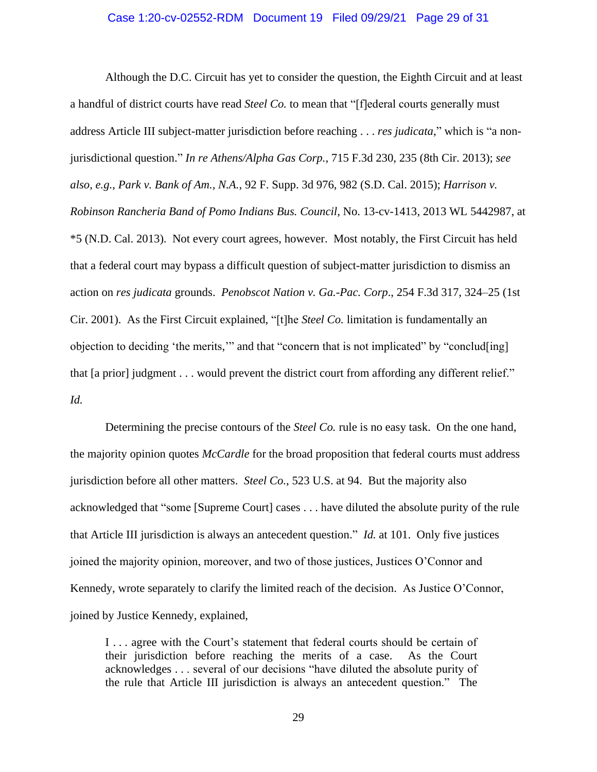### Case 1:20-cv-02552-RDM Document 19 Filed 09/29/21 Page 29 of 31

Although the D.C. Circuit has yet to consider the question, the Eighth Circuit and at least a handful of district courts have read *Steel Co.* to mean that "[f]ederal courts generally must address Article III subject-matter jurisdiction before reaching . . . *res judicata*," which is "a nonjurisdictional question." *In re Athens/Alpha Gas Corp.*, 715 F.3d 230, 235 (8th Cir. 2013); *see also, e.g.*, *Park v. Bank of Am., N.A.*, 92 F. Supp. 3d 976, 982 (S.D. Cal. 2015); *Harrison v. Robinson Rancheria Band of Pomo Indians Bus. Council*, No. 13-cv-1413, 2013 WL 5442987, at \*5 (N.D. Cal. 2013). Not every court agrees, however. Most notably, the First Circuit has held that a federal court may bypass a difficult question of subject-matter jurisdiction to dismiss an action on *res judicata* grounds. *Penobscot Nation v. Ga.-Pac. Corp*., 254 F.3d 317, 324–25 (1st Cir. 2001). As the First Circuit explained, "[t]he *Steel Co.* limitation is fundamentally an objection to deciding 'the merits,'" and that "concern that is not implicated" by "conclud[ing] that [a prior] judgment . . . would prevent the district court from affording any different relief." *Id.* 

Determining the precise contours of the *Steel Co.* rule is no easy task. On the one hand, the majority opinion quotes *McCardle* for the broad proposition that federal courts must address jurisdiction before all other matters. *Steel Co.*, 523 U.S. at 94. But the majority also acknowledged that "some [Supreme Court] cases . . . have diluted the absolute purity of the rule that Article III jurisdiction is always an antecedent question." *Id.* at 101. Only five justices joined the majority opinion, moreover, and two of those justices, Justices O'Connor and Kennedy, wrote separately to clarify the limited reach of the decision. As Justice O'Connor, joined by Justice Kennedy, explained,

I . . . agree with the Court's statement that federal courts should be certain of their jurisdiction before reaching the merits of a case. As the Court acknowledges . . . several of our decisions "have diluted the absolute purity of the rule that Article III jurisdiction is always an antecedent question." The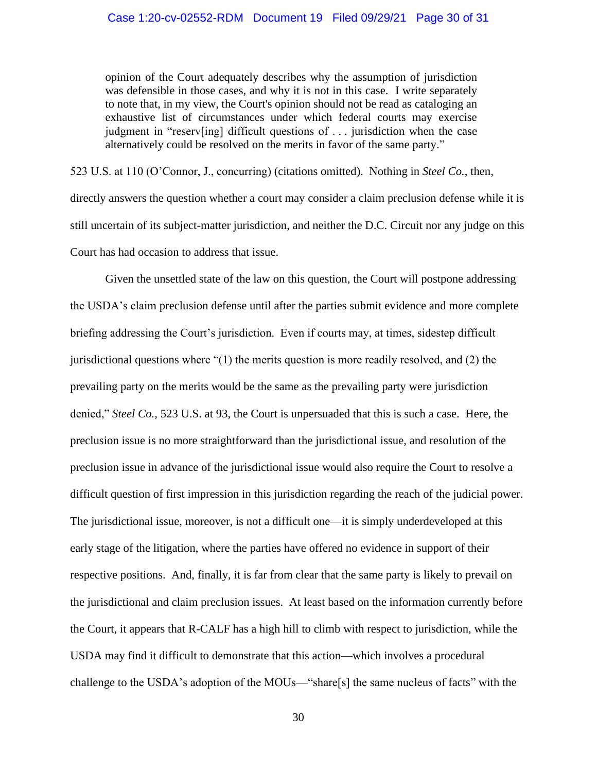opinion of the Court adequately describes why the assumption of jurisdiction was defensible in those cases, and why it is not in this case. I write separately to note that, in my view, the Court's opinion should not be read as cataloging an exhaustive list of circumstances under which federal courts may exercise judgment in "reserv[ing] difficult questions of . . . jurisdiction when the case alternatively could be resolved on the merits in favor of the same party."

523 U.S. at 110 (O'Connor, J., concurring) (citations omitted). Nothing in *Steel Co.*, then, directly answers the question whether a court may consider a claim preclusion defense while it is still uncertain of its subject-matter jurisdiction, and neither the D.C. Circuit nor any judge on this Court has had occasion to address that issue.

Given the unsettled state of the law on this question, the Court will postpone addressing the USDA's claim preclusion defense until after the parties submit evidence and more complete briefing addressing the Court's jurisdiction. Even if courts may, at times, sidestep difficult jurisdictional questions where "(1) the merits question is more readily resolved, and (2) the prevailing party on the merits would be the same as the prevailing party were jurisdiction denied," *Steel Co.*, 523 U.S. at 93, the Court is unpersuaded that this is such a case. Here, the preclusion issue is no more straightforward than the jurisdictional issue, and resolution of the preclusion issue in advance of the jurisdictional issue would also require the Court to resolve a difficult question of first impression in this jurisdiction regarding the reach of the judicial power. The jurisdictional issue, moreover, is not a difficult one—it is simply underdeveloped at this early stage of the litigation, where the parties have offered no evidence in support of their respective positions. And, finally, it is far from clear that the same party is likely to prevail on the jurisdictional and claim preclusion issues. At least based on the information currently before the Court, it appears that R-CALF has a high hill to climb with respect to jurisdiction, while the USDA may find it difficult to demonstrate that this action—which involves a procedural challenge to the USDA's adoption of the MOUs—"share[s] the same nucleus of facts" with the